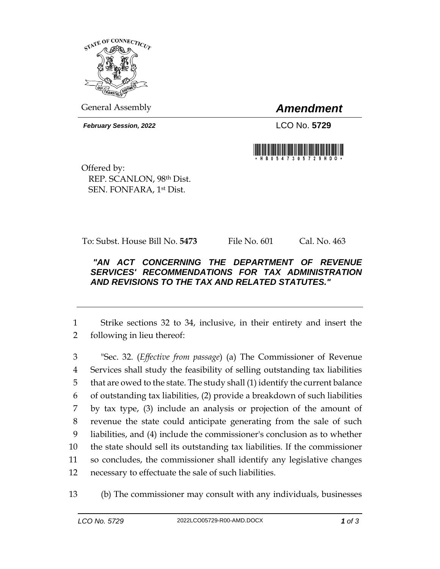

General Assembly *Amendment*

*February Session, 2022* LCO No. 5729



Offered by: REP. SCANLON, 98th Dist. SEN. FONFARA, 1st Dist.

To: Subst. House Bill No. **5473** File No. 601 Cal. No. 463

## *"AN ACT CONCERNING THE DEPARTMENT OF REVENUE SERVICES' RECOMMENDATIONS FOR TAX ADMINISTRATION AND REVISIONS TO THE TAX AND RELATED STATUTES."*

1 Strike sections 32 to 34, inclusive, in their entirety and insert the 2 following in lieu thereof:

 "Sec. 32. (*Effective from passage*) (a) The Commissioner of Revenue Services shall study the feasibility of selling outstanding tax liabilities that are owed to the state. The study shall (1) identify the current balance of outstanding tax liabilities, (2) provide a breakdown of such liabilities by tax type, (3) include an analysis or projection of the amount of revenue the state could anticipate generating from the sale of such liabilities, and (4) include the commissioner's conclusion as to whether the state should sell its outstanding tax liabilities. If the commissioner so concludes, the commissioner shall identify any legislative changes necessary to effectuate the sale of such liabilities.

13 (b) The commissioner may consult with any individuals, businesses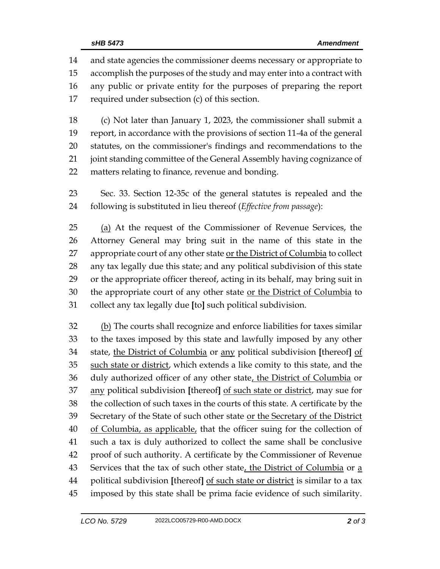and state agencies the commissioner deems necessary or appropriate to accomplish the purposes of the study and may enter into a contract with any public or private entity for the purposes of preparing the report required under subsection (c) of this section.

 (c) Not later than January 1, 2023, the commissioner shall submit a report, in accordance with the provisions of section 11-4a of the general statutes, on the commissioner's findings and recommendations to the joint standing committee of the General Assembly having cognizance of matters relating to finance, revenue and bonding.

 Sec. 33. Section 12-35c of the general statutes is repealed and the following is substituted in lieu thereof (*Effective from passage*):

 (a) At the request of the Commissioner of Revenue Services, the Attorney General may bring suit in the name of this state in the 27 appropriate court of any other state or the District of Columbia to collect any tax legally due this state; and any political subdivision of this state or the appropriate officer thereof, acting in its behalf, may bring suit in the appropriate court of any other state or the District of Columbia to collect any tax legally due **[**to**]** such political subdivision.

 (b) The courts shall recognize and enforce liabilities for taxes similar to the taxes imposed by this state and lawfully imposed by any other state, the District of Columbia or any political subdivision **[**thereof**]** of 35 such state or district, which extends a like comity to this state, and the 36 duly authorized officer of any other state, the District of Columbia or any political subdivision **[**thereof**]** of such state or district, may sue for the collection of such taxes in the courts of this state. A certificate by the Secretary of the State of such other state or the Secretary of the District 40 of Columbia, as applicable, that the officer suing for the collection of such a tax is duly authorized to collect the same shall be conclusive proof of such authority. A certificate by the Commissioner of Revenue 43 Services that the tax of such other state, the District of Columbia or  $a$  political subdivision **[**thereof**]** of such state or district is similar to a tax imposed by this state shall be prima facie evidence of such similarity.